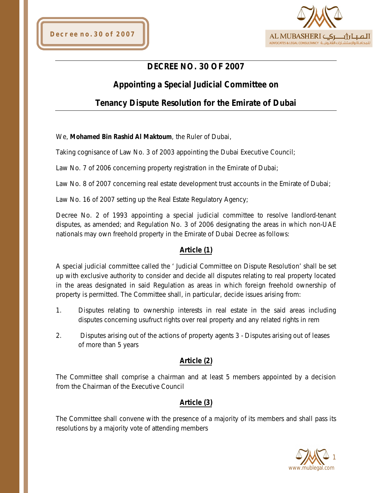

# **DECREE NO. 30 OF 2007**

# **Appointing a Special Judicial Committee on**

# **Tenancy Dispute Resolution for the Emirate of Dubai**

We, **Mohamed Bin Rashid Al Maktoum**, the Ruler of Dubai,

Taking cognisance of Law No. 3 of 2003 appointing the Dubai Executive Council;

Law No. 7 of 2006 concerning property registration in the Emirate of Dubai;

Law No. 8 of 2007 concerning real estate development trust accounts in the Emirate of Dubai;

Law No. 16 of 2007 setting up the Real Estate Regulatory Agency;

Decree No. 2 of 1993 appointing a special judicial committee to resolve landlord-tenant disputes, as amended; and Regulation No. 3 of 2006 designating the areas in which non-UAE nationals may own freehold property in the Emirate of Dubai Decree as follows:

### **Article (1)**

A special judicial committee called the ' Judicial Committee on Dispute Resolution' shall be set up with exclusive authority to consider and decide all disputes relating to real property located in the areas designated in said Regulation as areas in which foreign freehold ownership of property is permitted. The Committee shall, in particular, decide issues arising from:

- 1. Disputes relating to ownership interests in real estate in the said areas including disputes concerning usufruct rights over real property and any related rights in rem
- 2. Disputes arising out of the actions of property agents 3 Disputes arising out of leases of more than 5 years

### **Article (2)**

The Committee shall comprise a chairman and at least 5 members appointed by a decision from the Chairman of the Executive Council

### **Article (3)**

The Committee shall convene with the presence of a majority of its members and shall pass its resolutions by a majority vote of attending members